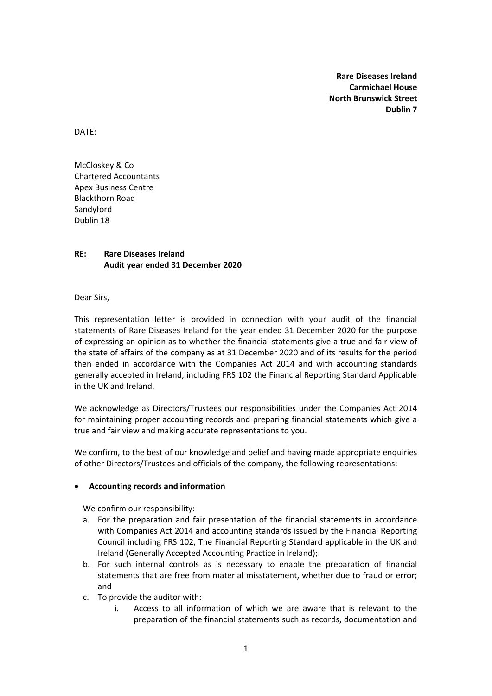**Rare Diseases Ireland Carmichael House North Brunswick Street Dublin 7** 

DATE:

McCloskey & Co Chartered Accountants Apex Business Centre Blackthorn Road Sandyford Dublin 18

# **RE: Rare Diseases Ireland Audit year ended 31 December 2020**

Dear Sirs,

This representation letter is provided in connection with your audit of the financial statements of Rare Diseases Ireland for the year ended 31 December 2020 for the purpose of expressing an opinion as to whether the financial statements give a true and fair view of the state of affairs of the company as at 31 December 2020 and of its results for the period then ended in accordance with the Companies Act 2014 and with accounting standards generally accepted in Ireland, including FRS 102 the Financial Reporting Standard Applicable in the UK and Ireland.

We acknowledge as Directors/Trustees our responsibilities under the Companies Act 2014 for maintaining proper accounting records and preparing financial statements which give a true and fair view and making accurate representations to you.

We confirm, to the best of our knowledge and belief and having made appropriate enquiries of other Directors/Trustees and officials of the company, the following representations:

# **Accounting records and information**

We confirm our responsibility:

- a. For the preparation and fair presentation of the financial statements in accordance with Companies Act 2014 and accounting standards issued by the Financial Reporting Council including FRS 102, The Financial Reporting Standard applicable in the UK and Ireland (Generally Accepted Accounting Practice in Ireland);
- b. For such internal controls as is necessary to enable the preparation of financial statements that are free from material misstatement, whether due to fraud or error; and
- c. To provide the auditor with:
	- i. Access to all information of which we are aware that is relevant to the preparation of the financial statements such as records, documentation and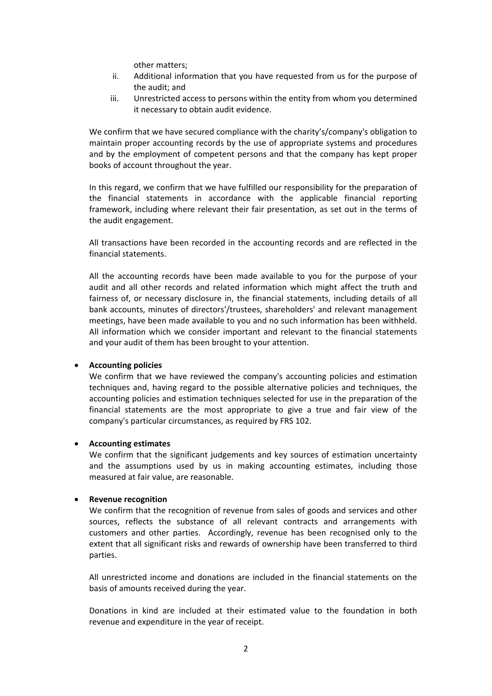other matters;

- ii. Additional information that you have requested from us for the purpose of the audit; and
- iii. Unrestricted access to persons within the entity from whom you determined it necessary to obtain audit evidence.

We confirm that we have secured compliance with the charity's/company's obligation to maintain proper accounting records by the use of appropriate systems and procedures and by the employment of competent persons and that the company has kept proper books of account throughout the year.

In this regard, we confirm that we have fulfilled our responsibility for the preparation of the financial statements in accordance with the applicable financial reporting framework, including where relevant their fair presentation, as set out in the terms of the audit engagement.

All transactions have been recorded in the accounting records and are reflected in the financial statements.

All the accounting records have been made available to you for the purpose of your audit and all other records and related information which might affect the truth and fairness of, or necessary disclosure in, the financial statements, including details of all bank accounts, minutes of directors'/trustees, shareholders' and relevant management meetings, have been made available to you and no such information has been withheld. All information which we consider important and relevant to the financial statements and your audit of them has been brought to your attention.

### **Accounting policies**

We confirm that we have reviewed the company's accounting policies and estimation techniques and, having regard to the possible alternative policies and techniques, the accounting policies and estimation techniques selected for use in the preparation of the financial statements are the most appropriate to give a true and fair view of the company's particular circumstances, as required by FRS 102.

### **Accounting estimates**

We confirm that the significant judgements and key sources of estimation uncertainty and the assumptions used by us in making accounting estimates, including those measured at fair value, are reasonable.

# **Revenue recognition**

We confirm that the recognition of revenue from sales of goods and services and other sources, reflects the substance of all relevant contracts and arrangements with customers and other parties. Accordingly, revenue has been recognised only to the extent that all significant risks and rewards of ownership have been transferred to third parties.

All unrestricted income and donations are included in the financial statements on the basis of amounts received during the year.

Donations in kind are included at their estimated value to the foundation in both revenue and expenditure in the year of receipt.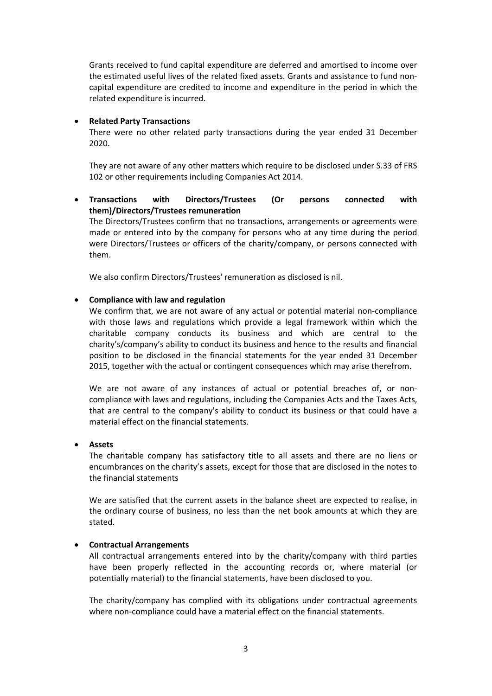Grants received to fund capital expenditure are deferred and amortised to income over the estimated useful lives of the related fixed assets. Grants and assistance to fund non‐ capital expenditure are credited to income and expenditure in the period in which the related expenditure is incurred.

## **Related Party Transactions**

There were no other related party transactions during the year ended 31 December 2020.

They are not aware of any other matters which require to be disclosed under S.33 of FRS 102 or other requirements including Companies Act 2014.

 **Transactions with Directors/Trustees (Or persons connected with them)/Directors/Trustees remuneration** 

The Directors/Trustees confirm that no transactions, arrangements or agreements were made or entered into by the company for persons who at any time during the period were Directors/Trustees or officers of the charity/company, or persons connected with them.

We also confirm Directors/Trustees' remuneration as disclosed is nil.

## **Compliance with law and regulation**

We confirm that, we are not aware of any actual or potential material non-compliance with those laws and regulations which provide a legal framework within which the charitable company conducts its business and which are central to the charity's/company's ability to conduct its business and hence to the results and financial position to be disclosed in the financial statements for the year ended 31 December 2015, together with the actual or contingent consequences which may arise therefrom.

We are not aware of any instances of actual or potential breaches of, or noncompliance with laws and regulations, including the Companies Acts and the Taxes Acts, that are central to the company's ability to conduct its business or that could have a material effect on the financial statements.

# **Assets**

The charitable company has satisfactory title to all assets and there are no liens or encumbrances on the charity's assets, except for those that are disclosed in the notes to the financial statements

We are satisfied that the current assets in the balance sheet are expected to realise, in the ordinary course of business, no less than the net book amounts at which they are stated.

# **Contractual Arrangements**

All contractual arrangements entered into by the charity/company with third parties have been properly reflected in the accounting records or, where material (or potentially material) to the financial statements, have been disclosed to you.

The charity/company has complied with its obligations under contractual agreements where non-compliance could have a material effect on the financial statements.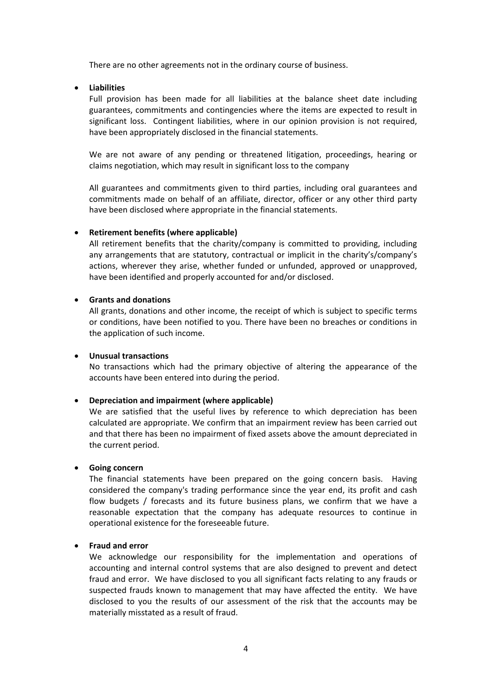There are no other agreements not in the ordinary course of business.

**Liabilities** 

Full provision has been made for all liabilities at the balance sheet date including guarantees, commitments and contingencies where the items are expected to result in significant loss. Contingent liabilities, where in our opinion provision is not required, have been appropriately disclosed in the financial statements.

We are not aware of any pending or threatened litigation, proceedings, hearing or claims negotiation, which may result in significant loss to the company

All guarantees and commitments given to third parties, including oral guarantees and commitments made on behalf of an affiliate, director, officer or any other third party have been disclosed where appropriate in the financial statements.

## **Retirement benefits (where applicable)**

All retirement benefits that the charity/company is committed to providing, including any arrangements that are statutory, contractual or implicit in the charity's/company's actions, wherever they arise, whether funded or unfunded, approved or unapproved, have been identified and properly accounted for and/or disclosed.

## **Grants and donations**

All grants, donations and other income, the receipt of which is subject to specific terms or conditions, have been notified to you. There have been no breaches or conditions in the application of such income.

## **Unusual transactions**

No transactions which had the primary objective of altering the appearance of the accounts have been entered into during the period.

### **Depreciation and impairment (where applicable)**

We are satisfied that the useful lives by reference to which depreciation has been calculated are appropriate. We confirm that an impairment review has been carried out and that there has been no impairment of fixed assets above the amount depreciated in the current period.

#### **Going concern**

The financial statements have been prepared on the going concern basis. Having considered the company's trading performance since the year end, its profit and cash flow budgets / forecasts and its future business plans, we confirm that we have a reasonable expectation that the company has adequate resources to continue in operational existence for the foreseeable future.

### **Fraud and error**

We acknowledge our responsibility for the implementation and operations of accounting and internal control systems that are also designed to prevent and detect fraud and error. We have disclosed to you all significant facts relating to any frauds or suspected frauds known to management that may have affected the entity. We have disclosed to you the results of our assessment of the risk that the accounts may be materially misstated as a result of fraud.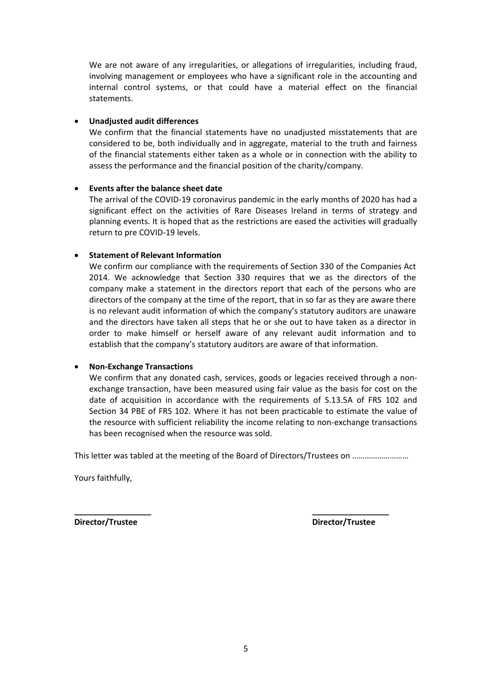We are not aware of any irregularities, or allegations of irregularities, including fraud, involving management or employees who have a significant role in the accounting and internal control systems, or that could have a material effect on the financial statements.

# **Unadjusted audit differences**

We confirm that the financial statements have no unadjusted misstatements that are considered to be, both individually and in aggregate, material to the truth and fairness of the financial statements either taken as a whole or in connection with the ability to assess the performance and the financial position of the charity/company.

# **Events after the balance sheet date**

The arrival of the COVID‐19 coronavirus pandemic in the early months of 2020 has had a significant effect on the activities of Rare Diseases Ireland in terms of strategy and planning events. It is hoped that as the restrictions are eased the activities will gradually return to pre COVID‐19 levels.

# **Statement of Relevant Information**

We confirm our compliance with the requirements of Section 330 of the Companies Act 2014. We acknowledge that Section 330 requires that we as the directors of the company make a statement in the directors report that each of the persons who are directors of the company at the time of the report, that in so far as they are aware there is no relevant audit information of which the company's statutory auditors are unaware and the directors have taken all steps that he or she out to have taken as a director in order to make himself or herself aware of any relevant audit information and to establish that the company's statutory auditors are aware of that information.

# **Non‐Exchange Transactions**

We confirm that any donated cash, services, goods or legacies received through a nonexchange transaction, have been measured using fair value as the basis for cost on the date of acquisition in accordance with the requirements of S.13.5A of FRS 102 and Section 34 PBE of FRS 102. Where it has not been practicable to estimate the value of the resource with sufficient reliability the income relating to non‐exchange transactions has been recognised when the resource was sold.

This letter was tabled at the meeting of the Board of Directors/Trustees on ………………………

**\_\_\_\_\_\_\_\_\_\_\_\_\_\_\_\_\_ \_\_\_\_\_\_\_\_\_\_\_\_\_\_\_\_\_** 

Yours faithfully,

**Director/Trustee Director/Trustee**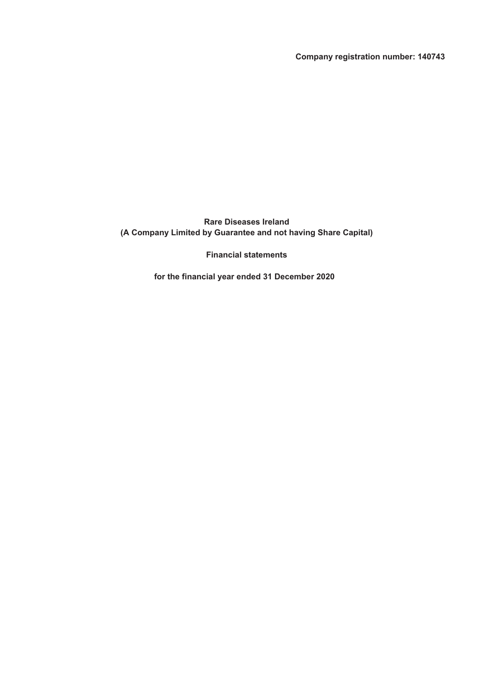**Company registration number: 140743** 

**Rare Diseases Ireland** (A Company Limited by Guarantee and not having Share Capital)

**Financial statements** 

for the financial year ended 31 December 2020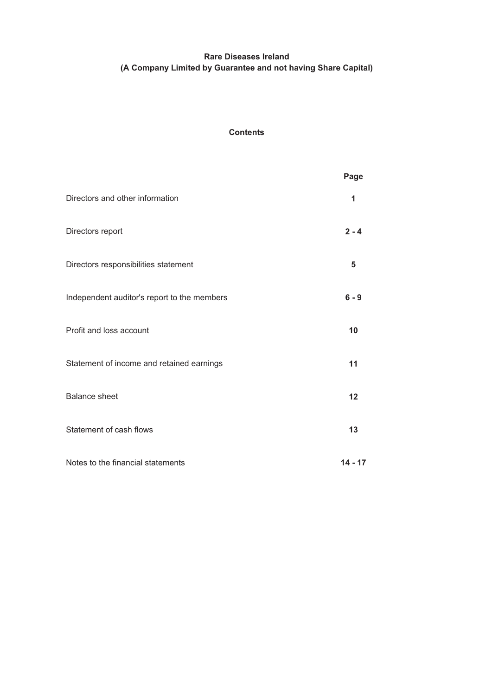# **Contents**

|                                             | Page      |
|---------------------------------------------|-----------|
| Directors and other information             | 1         |
| Directors report                            | $2 - 4$   |
| Directors responsibilities statement        | 5         |
| Independent auditor's report to the members | $6 - 9$   |
| Profit and loss account                     | 10        |
| Statement of income and retained earnings   | 11        |
| <b>Balance sheet</b>                        | 12        |
| Statement of cash flows                     | 13        |
| Notes to the financial statements           | $14 - 17$ |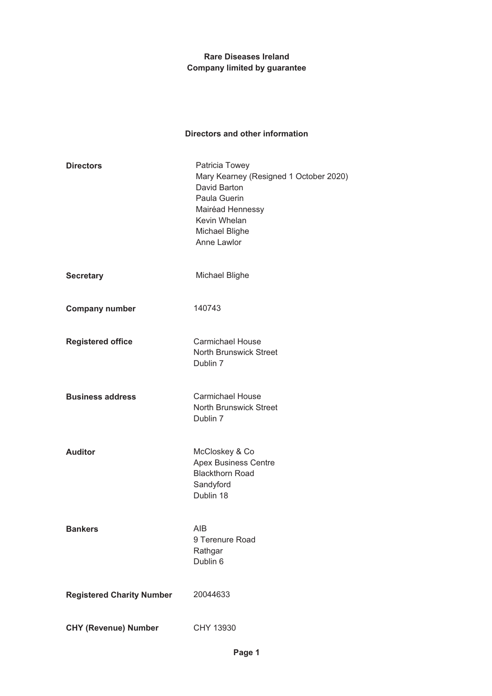# **Rare Diseases Ireland Company limited by guarantee**

# **Directors and other information**

| <b>Directors</b>                 | Patricia Towey<br>Mary Kearney (Resigned 1 October 2020)<br>David Barton<br>Paula Guerin<br>Mairéad Hennessy<br>Kevin Whelan<br>Michael Blighe<br>Anne Lawlor |
|----------------------------------|---------------------------------------------------------------------------------------------------------------------------------------------------------------|
| <b>Secretary</b>                 | Michael Blighe                                                                                                                                                |
| <b>Company number</b>            | 140743                                                                                                                                                        |
| <b>Registered office</b>         | <b>Carmichael House</b><br><b>North Brunswick Street</b><br>Dublin 7                                                                                          |
| <b>Business address</b>          | <b>Carmichael House</b><br>North Brunswick Street<br>Dublin 7                                                                                                 |
| <b>Auditor</b>                   | McCloskey & Co<br><b>Apex Business Centre</b><br><b>Blackthorn Road</b><br>Sandyford<br>Dublin 18                                                             |
| <b>Bankers</b>                   | AIB<br>9 Terenure Road<br>Rathgar<br>Dublin 6                                                                                                                 |
| <b>Registered Charity Number</b> | 20044633                                                                                                                                                      |
| <b>CHY (Revenue) Number</b>      | CHY 13930                                                                                                                                                     |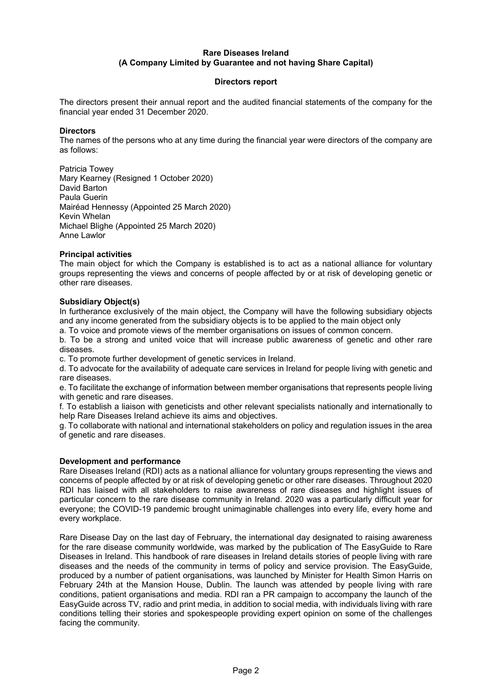## **Directors report**

The directors present their annual report and the audited financial statements of the company for the financial year ended 31 December 2020.

### **Directors**

The names of the persons who at any time during the financial year were directors of the company are as follows:

Patricia Towey Mary Kearney (Resigned 1 October 2020) David Barton Paula Guerin Mairéad Hennessy (Appointed 25 March 2020) Kevin Whelan Michael Blighe (Appointed 25 March 2020) Anne Lawlor

## **Principal activities**

The main object for which the Company is established is to act as a national alliance for voluntary groups representing the views and concerns of people affected by or at risk of developing genetic or other rare diseases.

## **Subsidiary Object(s)**

In furtherance exclusively of the main object, the Company will have the following subsidiary objects and any income generated from the subsidiary objects is to be applied to the main object only

a. To voice and promote views of the member organisations on issues of common concern.

b. To be a strong and united voice that will increase public awareness of genetic and other rare diseases.

c. To promote further development of genetic services in Ireland.

d. To advocate for the availability of adequate care services in Ireland for people living with genetic and rare diseases.

e. To facilitate the exchange of information between member organisations that represents people living with genetic and rare diseases.

f. To establish a liaison with geneticists and other relevant specialists nationally and internationally to help Rare Diseases Ireland achieve its aims and objectives.

g. To collaborate with national and international stakeholders on policy and regulation issues in the area of genetic and rare diseases.

### **Development and performance**

Rare Diseases Ireland (RDI) acts as a national alliance for voluntary groups representing the views and concerns of people affected by or at risk of developing genetic or other rare diseases. Throughout 2020 RDI has liaised with all stakeholders to raise awareness of rare diseases and highlight issues of particular concern to the rare disease community in Ireland. 2020 was a particularly difficult year for everyone; the COVID-19 pandemic brought unimaginable challenges into every life, every home and every workplace.

Rare Disease Day on the last day of February, the international day designated to raising awareness for the rare disease community worldwide, was marked by the publication of The EasyGuide to Rare Diseases in Ireland. This handbook of rare diseases in Ireland details stories of people living with rare diseases and the needs of the community in terms of policy and service provision. The EasyGuide, produced by a number of patient organisations, was launched by Minister for Health Simon Harris on February 24th at the Mansion House, Dublin. The launch was attended by people living with rare conditions, patient organisations and media. RDI ran a PR campaign to accompany the launch of the EasyGuide across TV, radio and print media, in addition to social media, with individuals living with rare conditions telling their stories and spokespeople providing expert opinion on some of the challenges facing the community.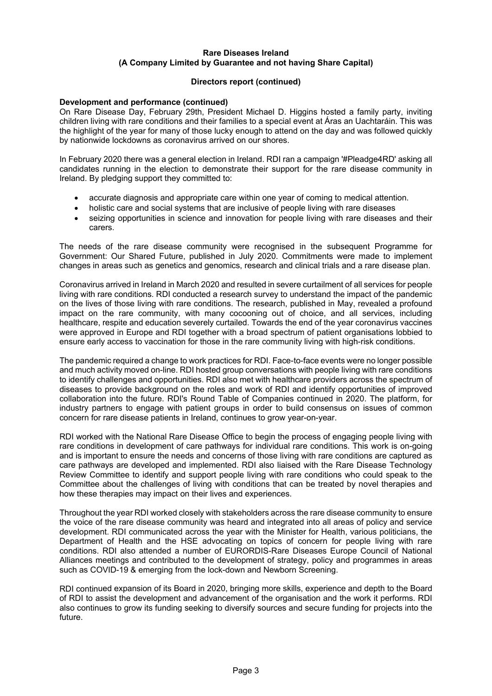## **Directors report (continued)**

## **Development and performance (continued)**

On Rare Disease Day, February 29th, President Michael D. Higgins hosted a family party, inviting children living with rare conditions and their families to a special event at Áras an Uachtaráin. This was the highlight of the year for many of those lucky enough to attend on the day and was followed quickly by nationwide lockdowns as coronavirus arrived on our shores.

In February 2020 there was a general election in Ireland. RDI ran a campaign '#Pleadge4RD' asking all candidates running in the election to demonstrate their support for the rare disease community in Ireland. By pledging support they committed to:

- accurate diagnosis and appropriate care within one year of coming to medical attention.
- holistic care and social systems that are inclusive of people living with rare diseases
- seizing opportunities in science and innovation for people living with rare diseases and their carers.

The needs of the rare disease community were recognised in the subsequent Programme for Government: Our Shared Future, published in July 2020. Commitments were made to implement changes in areas such as genetics and genomics, research and clinical trials and a rare disease plan.

Coronavirus arrived in Ireland in March 2020 and resulted in severe curtailment of all services for people living with rare conditions. RDI conducted a research survey to understand the impact of the pandemic on the lives of those living with rare conditions. The research, published in May, revealed a profound impact on the rare community, with many cocooning out of choice, and all services, including healthcare, respite and education severely curtailed. Towards the end of the year coronavirus vaccines were approved in Europe and RDI together with a broad spectrum of patient organisations lobbied to ensure early access to vaccination for those in the rare community living with high-risk conditions.

The pandemic required a change to work practices for RDI. Face-to-face events were no longer possible and much activity moved on-line. RDI hosted group conversations with people living with rare conditions to identify challenges and opportunities. RDI also met with healthcare providers across the spectrum of diseases to provide background on the roles and work of RDI and identify opportunities of improved collaboration into the future. RDI's Round Table of Companies continued in 2020. The platform, for industry partners to engage with patient groups in order to build consensus on issues of common concern for rare disease patients in Ireland, continues to grow year-on-year.

RDI worked with the National Rare Disease Office to begin the process of engaging people living with rare conditions in development of care pathways for individual rare conditions. This work is on-going and is important to ensure the needs and concerns of those living with rare conditions are captured as care pathways are developed and implemented. RDI also liaised with the Rare Disease Technology Review Committee to identify and support people living with rare conditions who could speak to the Committee about the challenges of living with conditions that can be treated by novel therapies and how these therapies may impact on their lives and experiences.

Throughout the year RDI worked closely with stakeholders across the rare disease community to ensure the voice of the rare disease community was heard and integrated into all areas of policy and service development. RDI communicated across the year with the Minister for Health, various politicians, the Department of Health and the HSE advocating on topics of concern for people living with rare conditions. RDI also attended a number of EURORDIS-Rare Diseases Europe Council of National Alliances meetings and contributed to the development of strategy, policy and programmes in areas such as COVID-19 & emerging from the lock-down and Newborn Screening.

RDI continued expansion of its Board in 2020, bringing more skills, experience and depth to the Board of RDI to assist the development and advancement of the organisation and the work it performs. RDI also continues to grow its funding seeking to diversify sources and secure funding for projects into the future.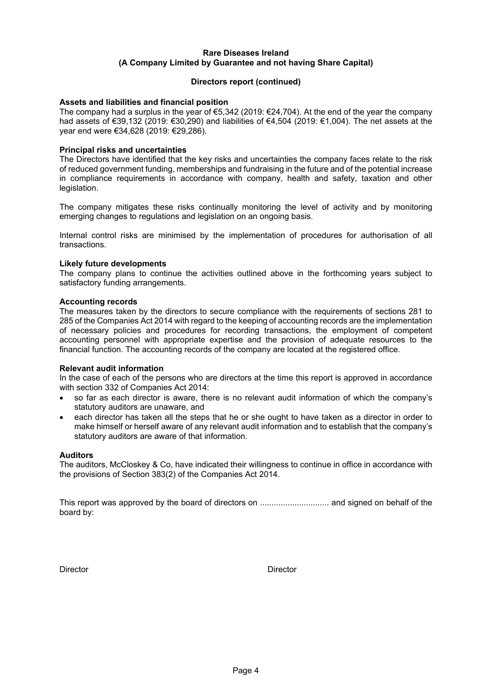## **Directors report (continued)**

## **Assets and liabilities and financial position**

The company had a surplus in the year of  $\epsilon$ 5,342 (2019:  $\epsilon$ 24,704). At the end of the year the company had assets of €39,132 (2019: €30,290) and liabilities of €4,504 (2019: €1,004). The net assets at the year end were €34,628 (2019: €29,286).

## **Principal risks and uncertainties**

The Directors have identified that the key risks and uncertainties the company faces relate to the risk of reduced government funding, memberships and fundraising in the future and of the potential increase in compliance requirements in accordance with company, health and safety, taxation and other legislation.

The company mitigates these risks continually monitoring the level of activity and by monitoring emerging changes to regulations and legislation on an ongoing basis.

Internal control risks are minimised by the implementation of procedures for authorisation of all transactions.

### **Likely future developments**

The company plans to continue the activities outlined above in the forthcoming years subject to satisfactory funding arrangements.

### **Accounting records**

The measures taken by the directors to secure compliance with the requirements of sections 281 to 285 of the Companies Act 2014 with regard to the keeping of accounting records are the implementation of necessary policies and procedures for recording transactions, the employment of competent accounting personnel with appropriate expertise and the provision of adequate resources to the financial function. The accounting records of the company are located at the registered office.

### **Relevant audit information**

In the case of each of the persons who are directors at the time this report is approved in accordance with section 332 of Companies Act 2014:

- so far as each director is aware, there is no relevant audit information of which the company's statutory auditors are unaware, and
- each director has taken all the steps that he or she ought to have taken as a director in order to make himself or herself aware of any relevant audit information and to establish that the company's statutory auditors are aware of that information.

### **Auditors**

The auditors, McCloskey & Co, have indicated their willingness to continue in office in accordance with the provisions of Section 383(2) of the Companies Act 2014.

This report was approved by the board of directors on .............................. and signed on behalf of the board by:

Director Director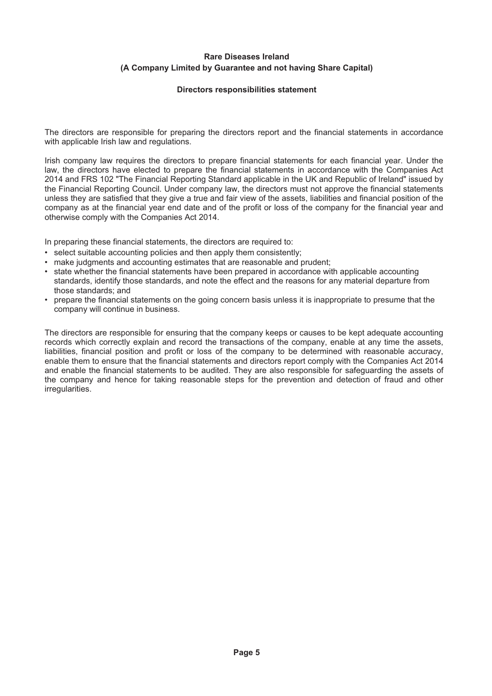# **Directors responsibilities statement**

The directors are responsible for preparing the directors report and the financial statements in accordance with applicable Irish law and regulations.

Irish company law requires the directors to prepare financial statements for each financial year. Under the law, the directors have elected to prepare the financial statements in accordance with the Companies Act 2014 and FRS 102 "The Financial Reporting Standard applicable in the UK and Republic of Ireland" issued by the Financial Reporting Council. Under company law, the directors must not approve the financial statements unless they are satisfied that they give a true and fair view of the assets, liabilities and financial position of the company as at the financial year end date and of the profit or loss of the company for the financial year and otherwise comply with the Companies Act 2014.

In preparing these financial statements, the directors are required to:

- select suitable accounting policies and then apply them consistently;
- make judgments and accounting estimates that are reasonable and prudent:
- state whether the financial statements have been prepared in accordance with applicable accounting standards, identify those standards, and note the effect and the reasons for any material departure from those standards: and
- prepare the financial statements on the going concern basis unless it is inappropriate to presume that the company will continue in business.

The directors are responsible for ensuring that the company keeps or causes to be kept adequate accounting records which correctly explain and record the transactions of the company, enable at any time the assets, liabilities, financial position and profit or loss of the company to be determined with reasonable accuracy, enable them to ensure that the financial statements and directors report comply with the Companies Act 2014 and enable the financial statements to be audited. They are also responsible for safeguarding the assets of the company and hence for taking reasonable steps for the prevention and detection of fraud and other irregularities.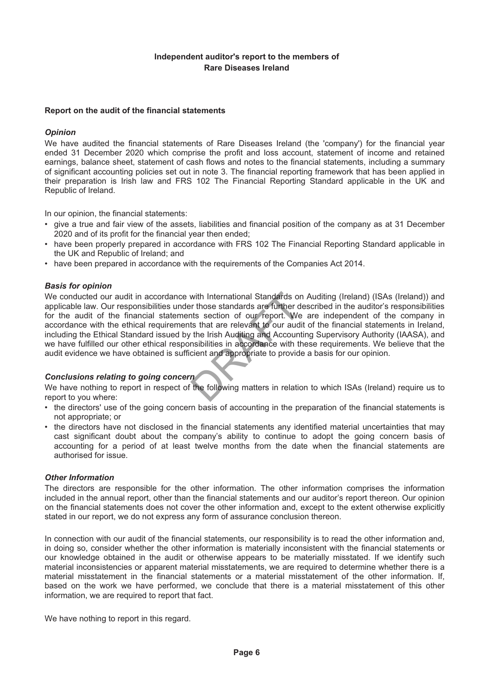# Independent auditor's report to the members of **Rare Diseases Ireland**

## Report on the audit of the financial statements

## **Opinion**

We have audited the financial statements of Rare Diseases Ireland (the 'company') for the financial year ended 31 December 2020 which comprise the profit and loss account, statement of income and retained earnings, balance sheet, statement of cash flows and notes to the financial statements, including a summary of significant accounting policies set out in note 3. The financial reporting framework that has been applied in their preparation is Irish law and FRS 102 The Financial Reporting Standard applicable in the UK and Republic of Ireland.

In our opinion, the financial statements:

- give a true and fair view of the assets, liabilities and financial position of the company as at 31 December 2020 and of its profit for the financial year then ended;
- have been properly prepared in accordance with FRS 102 The Financial Reporting Standard applicable in the UK and Republic of Ireland; and
- have been prepared in accordance with the requirements of the Companies Act 2014.

## **Basis for opinion**

We conducted our audit in accordance with International Standards on Auditing (Ireland) (ISAs (Ireland)) and applicable law. Our responsibilities under those standards are further described in the auditor's responsibilities for the audit of the financial statements section of our report. We are independent of the company in accordance with the ethical requirements that are relevant to our audit of the financial statements in Ireland, including the Ethical Standard issued by the Irish Auditing and Accounting Supervisory Authority (IAASA), and we have fulfilled our other ethical responsibilities in accordance with these requirements. We believe that the audit evidence we have obtained is sufficient and appropriate to provide a basis for our opinion.

# Conclusions relating to going concern

We have nothing to report in respect of the following matters in relation to which ISAs (Ireland) require us to report to you where:

- the directors' use of the going concern basis of accounting in the preparation of the financial statements is not appropriate; or
- the directors have not disclosed in the financial statements any identified material uncertainties that may cast significant doubt about the company's ability to continue to adopt the going concern basis of accounting for a period of at least twelve months from the date when the financial statements are authorised for issue.

### **Other Information**

The directors are responsible for the other information. The other information comprises the information included in the annual report, other than the financial statements and our auditor's report thereon. Our opinion on the financial statements does not cover the other information and, except to the extent otherwise explicitly stated in our report, we do not express any form of assurance conclusion thereon.

In connection with our audit of the financial statements, our responsibility is to read the other information and, in doing so, consider whether the other information is materially inconsistent with the financial statements or our knowledge obtained in the audit or otherwise appears to be materially misstated. If we identify such material inconsistencies or apparent material misstatements, we are required to determine whether there is a material misstatement in the financial statements or a material misstatement of the other information. If, based on the work we have performed, we conclude that there is a material misstatement of this other information, we are required to report that fact.

We have nothing to report in this regard.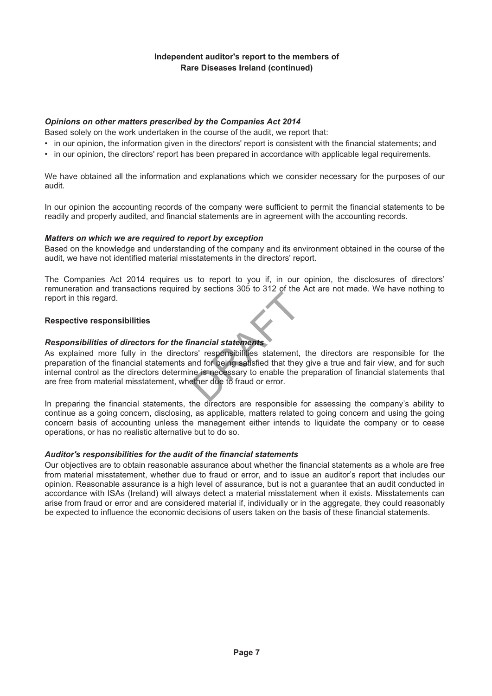# Independent auditor's report to the members of **Rare Diseases Ireland (continued)**

# Opinions on other matters prescribed by the Companies Act 2014

Based solely on the work undertaken in the course of the audit, we report that:

- in our opinion, the information given in the directors' report is consistent with the financial statements; and
- in our opinion, the directors' report has been prepared in accordance with applicable legal requirements.

We have obtained all the information and explanations which we consider necessary for the purposes of our audit.

In our opinion the accounting records of the company were sufficient to permit the financial statements to be readily and properly audited, and financial statements are in agreement with the accounting records.

## Matters on which we are required to report by exception

Based on the knowledge and understanding of the company and its environment obtained in the course of the audit, we have not identified material misstatements in the directors' report.

The Companies Act 2014 requires us to report to you if, in our opinion, the disclosures of directors' remuneration and transactions required by sections 305 to 312 of the Act are not made. We have nothing to report in this regard.

## **Respective responsibilities**

# Responsibilities of directors for the financial statements

As explained more fully in the directors' responsibilities statement, the directors are responsible for the preparation of the financial statements and for being satisfied that they give a true and fair view, and for such internal control as the directors determine is necessary to enable the preparation of financial statements that are free from material misstatement, whether due to fraud or error.

In preparing the financial statements, the directors are responsible for assessing the company's ability to continue as a going concern, disclosing, as applicable, matters related to going concern and using the going concern basis of accounting unless the management either intends to liquidate the company or to cease operations, or has no realistic alternative but to do so.

# Auditor's responsibilities for the audit of the financial statements

Our objectives are to obtain reasonable assurance about whether the financial statements as a whole are free from material misstatement, whether due to fraud or error, and to issue an auditor's report that includes our opinion. Reasonable assurance is a high level of assurance, but is not a guarantee that an audit conducted in accordance with ISAs (Ireland) will always detect a material misstatement when it exists. Misstatements can arise from fraud or error and are considered material if, individually or in the aggregate, they could reasonably be expected to influence the economic decisions of users taken on the basis of these financial statements.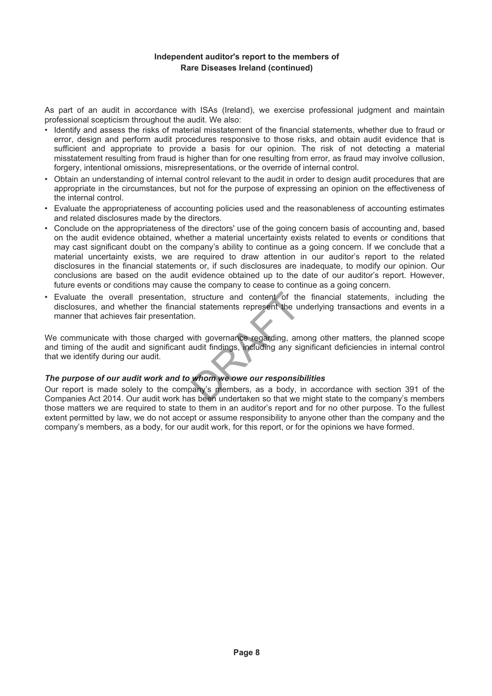# Independent auditor's report to the members of **Rare Diseases Ireland (continued)**

As part of an audit in accordance with ISAs (Ireland), we exercise professional judgment and maintain professional scepticism throughout the audit. We also:

- Identify and assess the risks of material misstatement of the financial statements, whether due to fraud or error, design and perform audit procedures responsive to those risks, and obtain audit evidence that is sufficient and appropriate to provide a basis for our opinion. The risk of not detecting a material misstatement resulting from fraud is higher than for one resulting from error, as fraud may involve collusion, forgery, intentional omissions, misrepresentations, or the override of internal control.
- Obtain an understanding of internal control relevant to the audit in order to design audit procedures that are appropriate in the circumstances, but not for the purpose of expressing an opinion on the effectiveness of the internal control.
- Evaluate the appropriateness of accounting policies used and the reasonableness of accounting estimates and related disclosures made by the directors.
- Conclude on the appropriateness of the directors' use of the going concern basis of accounting and, based on the audit evidence obtained, whether a material uncertainty exists related to events or conditions that may cast significant doubt on the company's ability to continue as a going concern. If we conclude that a material uncertainty exists, we are required to draw attention in our auditor's report to the related disclosures in the financial statements or, if such disclosures are inadequate, to modify our opinion. Our conclusions are based on the audit evidence obtained up to the date of our auditor's report. However, future events or conditions may cause the company to cease to continue as a going concern.
- Evaluate the overall presentation, structure and content of the financial statements, including the disclosures, and whether the financial statements represent the underlying transactions and events in a manner that achieves fair presentation.

We communicate with those charged with governance regarding, among other matters, the planned scope and timing of the audit and significant audit findings, including any significant deficiencies in internal control that we identify during our audit.

# The purpose of our audit work and to whom we owe our responsibilities

Our report is made solely to the company's members, as a body, in accordance with section 391 of the Companies Act 2014. Our audit work has been undertaken so that we might state to the company's members those matters we are required to state to them in an auditor's report and for no other purpose. To the fullest extent permitted by law, we do not accept or assume responsibility to anyone other than the company and the company's members, as a body, for our audit work, for this report, or for the opinions we have formed.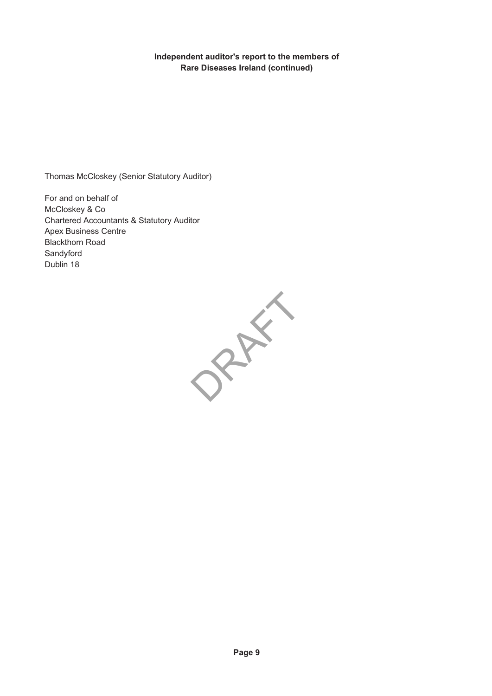Independent auditor's report to the members of **Rare Diseases Ireland (continued)** 

Thomas McCloskey (Senior Statutory Auditor)

For and on behalf of McCloskey & Co **Chartered Accountants & Statutory Auditor Apex Business Centre Blackthorn Road** Sandyford Dublin 18

PREF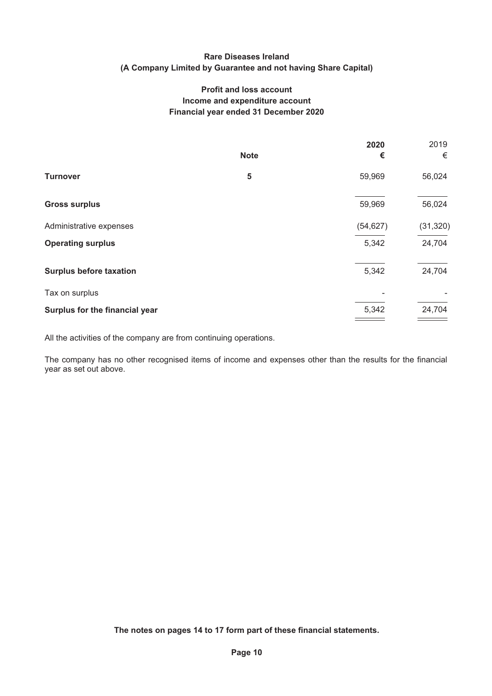# **Profit and loss account** Income and expenditure account Financial year ended 31 December 2020

|                                | <b>Note</b> | 2020<br>€ | 2019<br>€ |
|--------------------------------|-------------|-----------|-----------|
| <b>Turnover</b>                | 5           | 59,969    | 56,024    |
| <b>Gross surplus</b>           |             | 59,969    | 56,024    |
| Administrative expenses        |             | (54, 627) | (31, 320) |
| <b>Operating surplus</b>       |             | 5,342     | 24,704    |
| <b>Surplus before taxation</b> |             | 5,342     | 24,704    |
| Tax on surplus                 |             | ۰         |           |
| Surplus for the financial year |             | 5,342     | 24,704    |

All the activities of the company are from continuing operations.

The company has no other recognised items of income and expenses other than the results for the financial year as set out above.

The notes on pages 14 to 17 form part of these financial statements.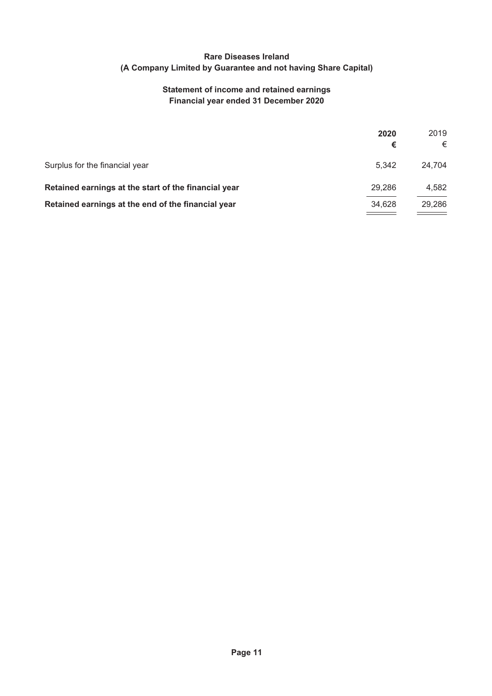# Statement of income and retained earnings Financial year ended 31 December 2020

|                                                      | 2020<br>€ | 2019<br>€ |
|------------------------------------------------------|-----------|-----------|
| Surplus for the financial year                       | 5.342     | 24.704    |
| Retained earnings at the start of the financial year | 29,286    | 4,582     |
| Retained earnings at the end of the financial year   | 34,628    | 29,286    |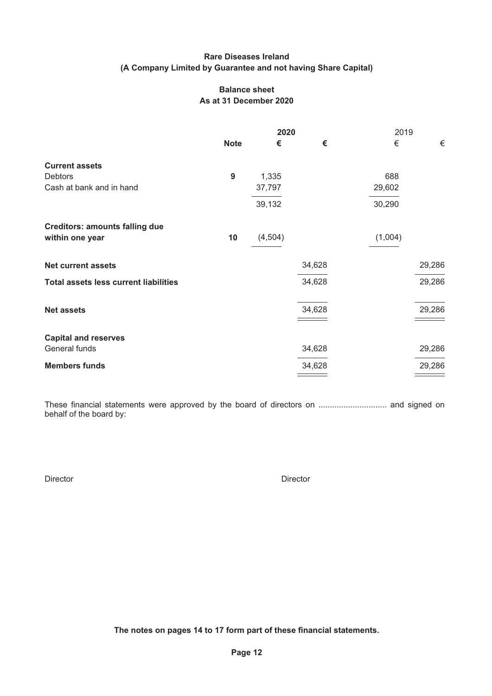# **Balance sheet** As at 31 December 2020

|                                              |             | 2020     |        | 2019    |        |
|----------------------------------------------|-------------|----------|--------|---------|--------|
|                                              | <b>Note</b> | €        | €      | €       | $\in$  |
| <b>Current assets</b>                        |             |          |        |         |        |
| Debtors                                      | 9           | 1,335    |        | 688     |        |
| Cash at bank and in hand                     |             | 37,797   |        | 29,602  |        |
|                                              |             | 39,132   |        | 30,290  |        |
| <b>Creditors: amounts falling due</b>        |             |          |        |         |        |
| within one year                              | 10          | (4, 504) |        | (1,004) |        |
| <b>Net current assets</b>                    |             |          | 34,628 |         | 29,286 |
| <b>Total assets less current liabilities</b> |             |          | 34,628 |         | 29,286 |
| <b>Net assets</b>                            |             |          | 34,628 |         | 29,286 |
|                                              |             |          |        |         |        |
| <b>Capital and reserves</b>                  |             |          |        |         |        |
| General funds                                |             |          | 34,628 |         | 29,286 |
| <b>Members funds</b>                         |             |          | 34,628 |         | 29,286 |

These financial statements were approved by the board of directors on ............................. and signed on behalf of the board by:

Director

Director

The notes on pages 14 to 17 form part of these financial statements.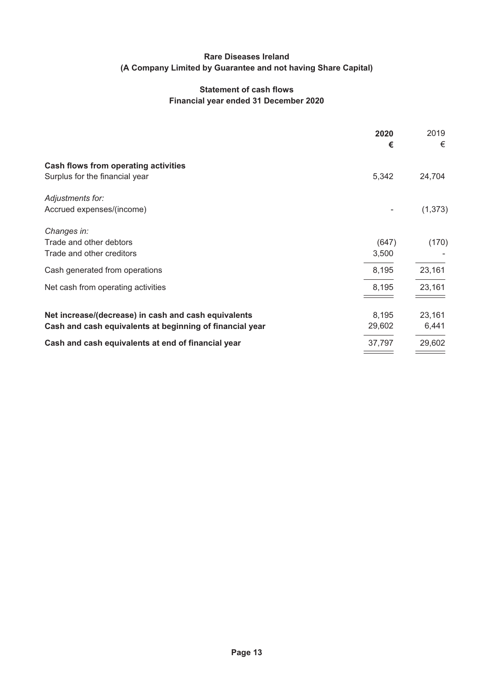# **Statement of cash flows** Financial year ended 31 December 2020

|                                                                                                                  | 2020<br>€       | 2019<br>€       |
|------------------------------------------------------------------------------------------------------------------|-----------------|-----------------|
| <b>Cash flows from operating activities</b><br>Surplus for the financial year                                    | 5,342           | 24,704          |
| Adjustments for:<br>Accrued expenses/(income)                                                                    |                 | (1, 373)        |
| Changes in:<br>Trade and other debtors<br>Trade and other creditors                                              | (647)<br>3,500  | (170)           |
| Cash generated from operations                                                                                   | 8,195           | 23,161          |
| Net cash from operating activities                                                                               | 8,195           | 23,161          |
| Net increase/(decrease) in cash and cash equivalents<br>Cash and cash equivalents at beginning of financial year | 8,195<br>29,602 | 23,161<br>6,441 |
| Cash and cash equivalents at end of financial year                                                               | 37,797          | 29,602          |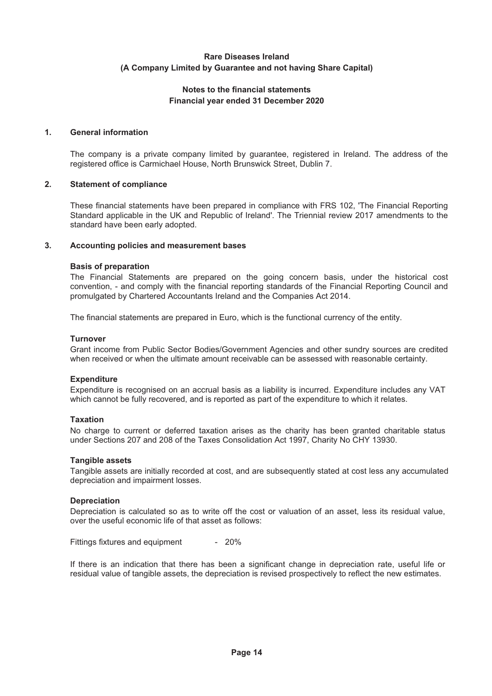# Notes to the financial statements Financial year ended 31 December 2020

#### $\mathbf{1}$ . **General information**

The company is a private company limited by guarantee, registered in Ireland. The address of the registered office is Carmichael House, North Brunswick Street, Dublin 7.

#### $2<sup>2</sup>$ **Statement of compliance**

These financial statements have been prepared in compliance with FRS 102, 'The Financial Reporting Standard applicable in the UK and Republic of Ireland'. The Triennial review 2017 amendments to the standard have been early adopted.

#### $3<sub>1</sub>$ Accounting policies and measurement bases

## **Basis of preparation**

The Financial Statements are prepared on the going concern basis, under the historical cost convention, - and comply with the financial reporting standards of the Financial Reporting Council and promulgated by Chartered Accountants Ireland and the Companies Act 2014.

The financial statements are prepared in Euro, which is the functional currency of the entity.

### **Turnover**

Grant income from Public Sector Bodies/Government Agencies and other sundry sources are credited when received or when the ultimate amount receivable can be assessed with reasonable certainty.

### **Expenditure**

Expenditure is recognised on an accrual basis as a liability is incurred. Expenditure includes any VAT which cannot be fully recovered, and is reported as part of the expenditure to which it relates.

### **Taxation**

No charge to current or deferred taxation arises as the charity has been granted charitable status under Sections 207 and 208 of the Taxes Consolidation Act 1997. Charity No CHY 13930.

### **Tangible assets**

Tangible assets are initially recorded at cost, and are subsequently stated at cost less any accumulated depreciation and impairment losses.

### **Depreciation**

Depreciation is calculated so as to write off the cost or valuation of an asset, less its residual value, over the useful economic life of that asset as follows:

Fittings fixtures and equipment  $-20%$ 

If there is an indication that there has been a significant change in depreciation rate, useful life or residual value of tangible assets, the depreciation is revised prospectively to reflect the new estimates.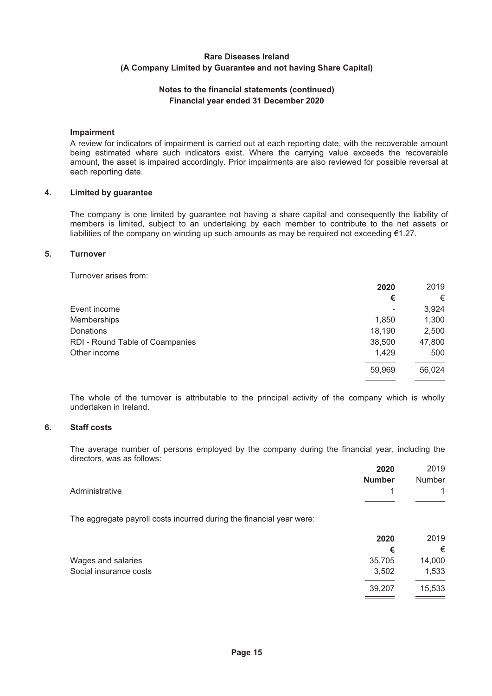# Notes to the financial statements (continued) Financial year ended 31 December 2020

## Impairment

A review for indicators of impairment is carried out at each reporting date, with the recoverable amount being estimated where such indicators exist. Where the carrying value exceeds the recoverable amount, the asset is impaired accordingly. Prior impairments are also reviewed for possible reversal at each reporting date.

#### $4.$ **Limited by guarantee**

The company is one limited by guarantee not having a share capital and consequently the liability of members is limited, subject to an undertaking by each member to contribute to the net assets or liabilities of the company on winding up such amounts as may be required not exceeding  $E1.27$ .

#### 5. **Turnover**

Turnover arises from:

| 2020                         | 2019   |
|------------------------------|--------|
| €                            | €      |
| $\qquad \qquad \blacksquare$ | 3,924  |
| 1,850                        | 1,300  |
| 18,190                       | 2,500  |
| 38,500                       | 47,800 |
| 1,429                        | 500    |
| 59,969                       | 56,024 |
|                              |        |

The whole of the turnover is attributable to the principal activity of the company which is wholly undertaken in Ireland.

#### $6.$ **Staff costs**

The average number of persons employed by the company during the financial year, including the directors, was as follows: a sala

|                | 2020   | 2019        |
|----------------|--------|-------------|
|                | Number | Number      |
| Administrative |        | $1 \quad 1$ |
|                |        |             |

The aggregate payroll costs incurred during the financial year were:

| 2020   | 2019   |
|--------|--------|
| €      | €      |
| 35,705 | 14,000 |
| 3,502  | 1,533  |
| 39,207 | 15,533 |
|        |        |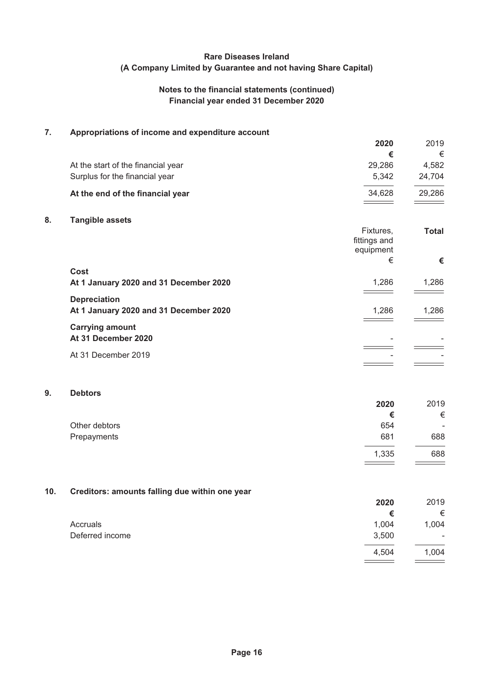# Notes to the financial statements (continued) Financial year ended 31 December 2020

#### $\overline{7}$ . Appropriations of income and expenditure account

|                                    | 2020   | 2019   |
|------------------------------------|--------|--------|
|                                    |        | €      |
| At the start of the financial year | 29,286 | 4.582  |
| Surplus for the financial year     | 5.342  | 24.704 |
| At the end of the financial year   | 34.628 | 29,286 |
|                                    |        |        |

#### 8. **Tangible assets**

|                                        | Fixtures,<br>fittings and<br>equipment | <b>Total</b> |
|----------------------------------------|----------------------------------------|--------------|
|                                        | €                                      | €            |
| Cost                                   |                                        |              |
| At 1 January 2020 and 31 December 2020 | 1,286                                  | 1,286        |
| <b>Depreciation</b>                    |                                        |              |
| At 1 January 2020 and 31 December 2020 | 1.286                                  | 1,286        |
| <b>Carrying amount</b>                 |                                        |              |
| At 31 December 2020                    |                                        |              |
| At 31 December 2019                    |                                        |              |
|                                        |                                        |              |

#### 9. **Debtors**

|               | 2020  | 2019                     |
|---------------|-------|--------------------------|
|               | €     | €                        |
| Other debtors | 654   | $\overline{\phantom{0}}$ |
| Prepayments   | 681   | 688                      |
|               | 1,335 | 688                      |
|               |       |                          |

#### Creditors: amounts falling due within one year  $10.$

| .<br>$\overline{\phantom{a}}$<br>.<br>. | 2020  | 2019  |
|-----------------------------------------|-------|-------|
|                                         | €     | €     |
| Accruals                                | 1,004 | 1,004 |
| Deferred income                         | 3,500 |       |
|                                         | 4,504 | 1,004 |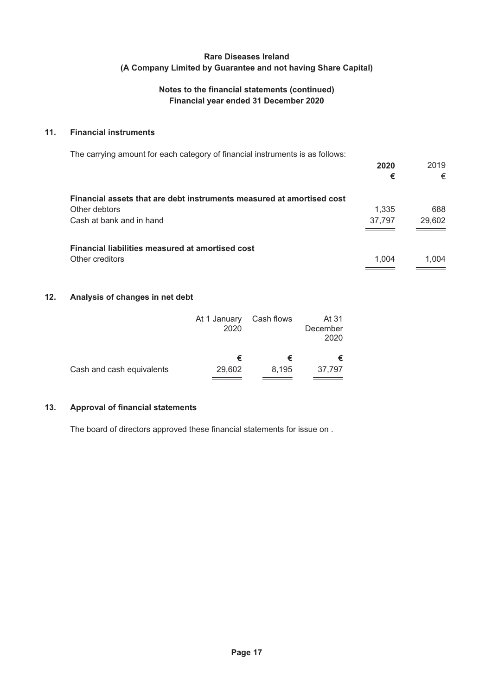# Notes to the financial statements (continued) Financial year ended 31 December 2020

#### $11.$ **Financial instruments**

The carrying amount for each category of financial instruments is as follows:

|                                                                       | €      | €      |
|-----------------------------------------------------------------------|--------|--------|
| Financial assets that are debt instruments measured at amortised cost |        |        |
| Other debtors                                                         | 1.335  | 688    |
| Cash at bank and in hand                                              | 37,797 | 29,602 |
| Financial liabilities measured at amortised cost                      |        |        |
| Other creditors                                                       | 1.004  | 1.004  |

2019

2020

#### $12.$ Analysis of changes in net debt

|                           | At 1 January<br>2020 | Cash flows | At 31<br>December<br>2020 |
|---------------------------|----------------------|------------|---------------------------|
| Cash and cash equivalents | €<br>29,602          | €<br>8,195 | €<br>37,797               |
|                           |                      |            |                           |

#### $13.$ **Approval of financial statements**

The board of directors approved these financial statements for issue on.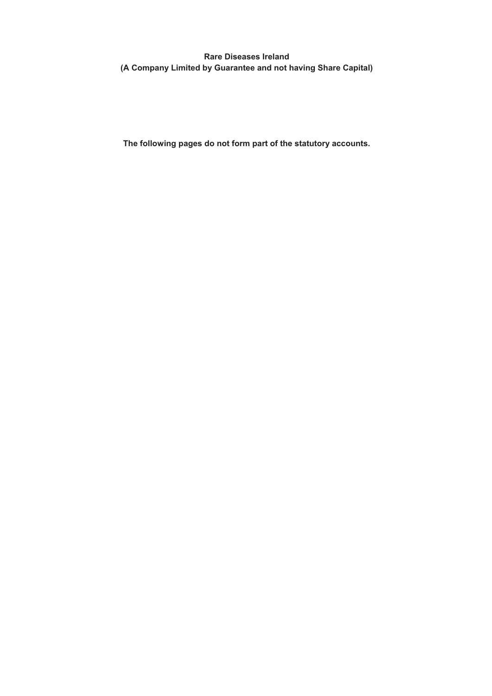The following pages do not form part of the statutory accounts.